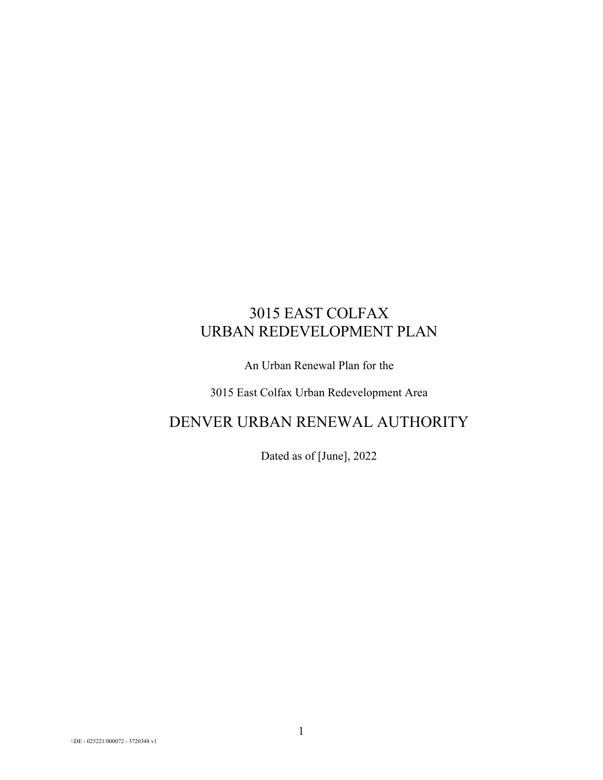# 3015 EAST COLFAX URBAN REDEVELOPMENT PLAN

An Urban Renewal Plan for the

3015 East Colfax Urban Redevelopment Area

## DENVER URBAN RENEWAL AUTHORITY

Dated as of [June], 2022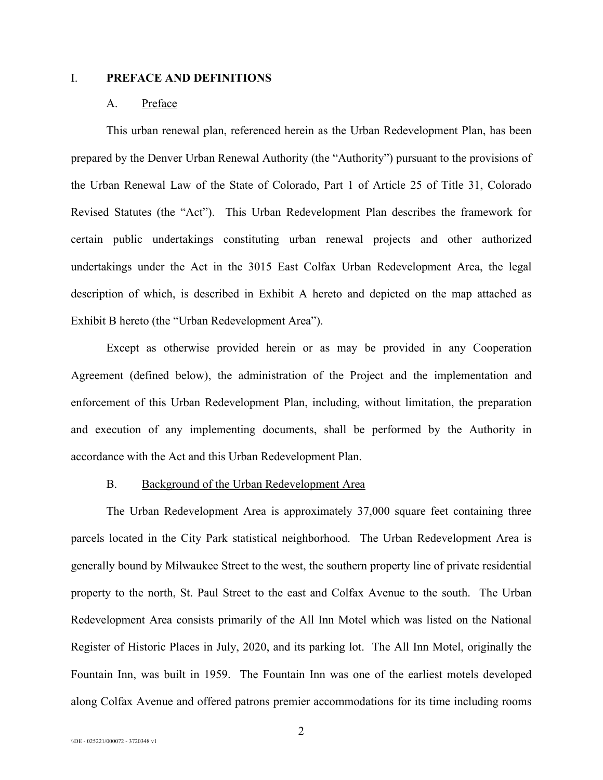#### I. **PREFACE AND DEFINITIONS**

#### A. Preface

This urban renewal plan, referenced herein as the Urban Redevelopment Plan, has been prepared by the Denver Urban Renewal Authority (the "Authority") pursuant to the provisions of the Urban Renewal Law of the State of Colorado, Part 1 of Article 25 of Title 31, Colorado Revised Statutes (the "Act"). This Urban Redevelopment Plan describes the framework for certain public undertakings constituting urban renewal projects and other authorized undertakings under the Act in the 3015 East Colfax Urban Redevelopment Area, the legal description of which, is described in Exhibit A hereto and depicted on the map attached as Exhibit B hereto (the "Urban Redevelopment Area").

Except as otherwise provided herein or as may be provided in any Cooperation Agreement (defined below), the administration of the Project and the implementation and enforcement of this Urban Redevelopment Plan, including, without limitation, the preparation and execution of any implementing documents, shall be performed by the Authority in accordance with the Act and this Urban Redevelopment Plan.

#### B. Background of the Urban Redevelopment Area

The Urban Redevelopment Area is approximately 37,000 square feet containing three parcels located in the City Park statistical neighborhood. The Urban Redevelopment Area is generally bound by Milwaukee Street to the west, the southern property line of private residential property to the north, St. Paul Street to the east and Colfax Avenue to the south. The Urban Redevelopment Area consists primarily of the All Inn Motel which was listed on the National Register of Historic Places in July, 2020, and its parking lot. The All Inn Motel, originally the Fountain Inn, was built in 1959. The Fountain Inn was one of the earliest motels developed along Colfax Avenue and offered patrons premier accommodations for its time including rooms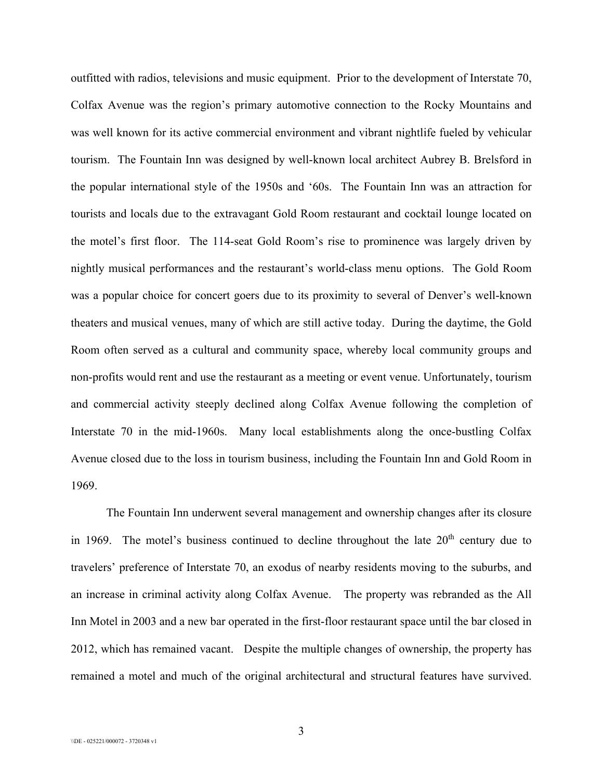outfitted with radios, televisions and music equipment. Prior to the development of Interstate 70, Colfax Avenue was the region's primary automotive connection to the Rocky Mountains and was well known for its active commercial environment and vibrant nightlife fueled by vehicular tourism. The Fountain Inn was designed by well-known local architect Aubrey B. Brelsford in the popular international style of the 1950s and '60s. The Fountain Inn was an attraction for tourists and locals due to the extravagant Gold Room restaurant and cocktail lounge located on the motel's first floor. The 114-seat Gold Room's rise to prominence was largely driven by nightly musical performances and the restaurant's world-class menu options. The Gold Room was a popular choice for concert goers due to its proximity to several of Denver's well-known theaters and musical venues, many of which are still active today. During the daytime, the Gold Room often served as a cultural and community space, whereby local community groups and non-profits would rent and use the restaurant as a meeting or event venue. Unfortunately, tourism and commercial activity steeply declined along Colfax Avenue following the completion of Interstate 70 in the mid-1960s. Many local establishments along the once-bustling Colfax Avenue closed due to the loss in tourism business, including the Fountain Inn and Gold Room in 1969.

The Fountain Inn underwent several management and ownership changes after its closure in 1969. The motel's business continued to decline throughout the late  $20<sup>th</sup>$  century due to travelers' preference of Interstate 70, an exodus of nearby residents moving to the suburbs, and an increase in criminal activity along Colfax Avenue. The property was rebranded as the All Inn Motel in 2003 and a new bar operated in the first-floor restaurant space until the bar closed in 2012, which has remained vacant. Despite the multiple changes of ownership, the property has remained a motel and much of the original architectural and structural features have survived.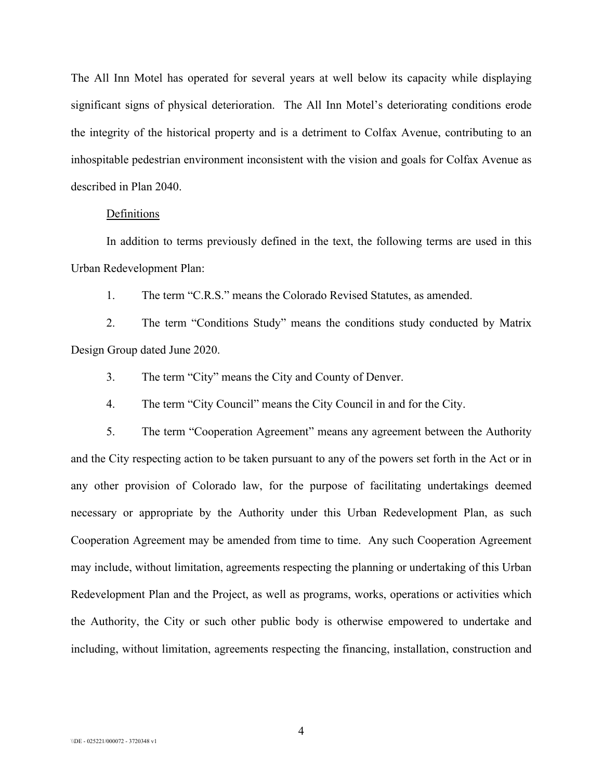The All Inn Motel has operated for several years at well below its capacity while displaying significant signs of physical deterioration. The All Inn Motel's deteriorating conditions erode the integrity of the historical property and is a detriment to Colfax Avenue, contributing to an inhospitable pedestrian environment inconsistent with the vision and goals for Colfax Avenue as described in Plan 2040.

#### **Definitions**

In addition to terms previously defined in the text, the following terms are used in this Urban Redevelopment Plan:

1. The term "C.R.S." means the Colorado Revised Statutes, as amended.

2. The term "Conditions Study" means the conditions study conducted by Matrix Design Group dated June 2020.

3. The term "City" means the City and County of Denver.

4. The term "City Council" means the City Council in and for the City.

5. The term "Cooperation Agreement" means any agreement between the Authority and the City respecting action to be taken pursuant to any of the powers set forth in the Act or in any other provision of Colorado law, for the purpose of facilitating undertakings deemed necessary or appropriate by the Authority under this Urban Redevelopment Plan, as such Cooperation Agreement may be amended from time to time. Any such Cooperation Agreement may include, without limitation, agreements respecting the planning or undertaking of this Urban Redevelopment Plan and the Project, as well as programs, works, operations or activities which the Authority, the City or such other public body is otherwise empowered to undertake and including, without limitation, agreements respecting the financing, installation, construction and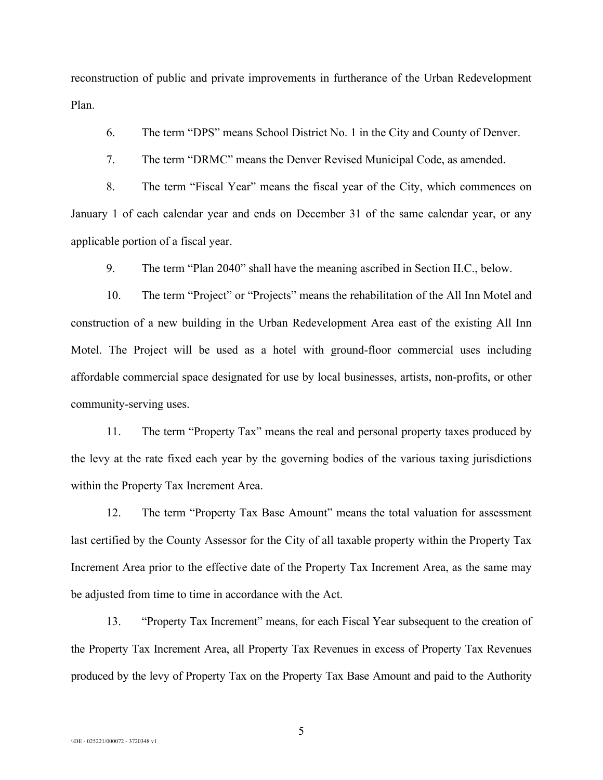reconstruction of public and private improvements in furtherance of the Urban Redevelopment Plan.

6. The term "DPS" means School District No. 1 in the City and County of Denver.

7. The term "DRMC" means the Denver Revised Municipal Code, as amended.

8. The term "Fiscal Year" means the fiscal year of the City, which commences on January 1 of each calendar year and ends on December 31 of the same calendar year, or any applicable portion of a fiscal year.

9. The term "Plan 2040" shall have the meaning ascribed in Section II.C., below.

10. The term "Project" or "Projects" means the rehabilitation of the All Inn Motel and construction of a new building in the Urban Redevelopment Area east of the existing All Inn Motel. The Project will be used as a hotel with ground-floor commercial uses including affordable commercial space designated for use by local businesses, artists, non-profits, or other community-serving uses.

11. The term "Property Tax" means the real and personal property taxes produced by the levy at the rate fixed each year by the governing bodies of the various taxing jurisdictions within the Property Tax Increment Area.

12. The term "Property Tax Base Amount" means the total valuation for assessment last certified by the County Assessor for the City of all taxable property within the Property Tax Increment Area prior to the effective date of the Property Tax Increment Area, as the same may be adjusted from time to time in accordance with the Act.

13. "Property Tax Increment" means, for each Fiscal Year subsequent to the creation of the Property Tax Increment Area, all Property Tax Revenues in excess of Property Tax Revenues produced by the levy of Property Tax on the Property Tax Base Amount and paid to the Authority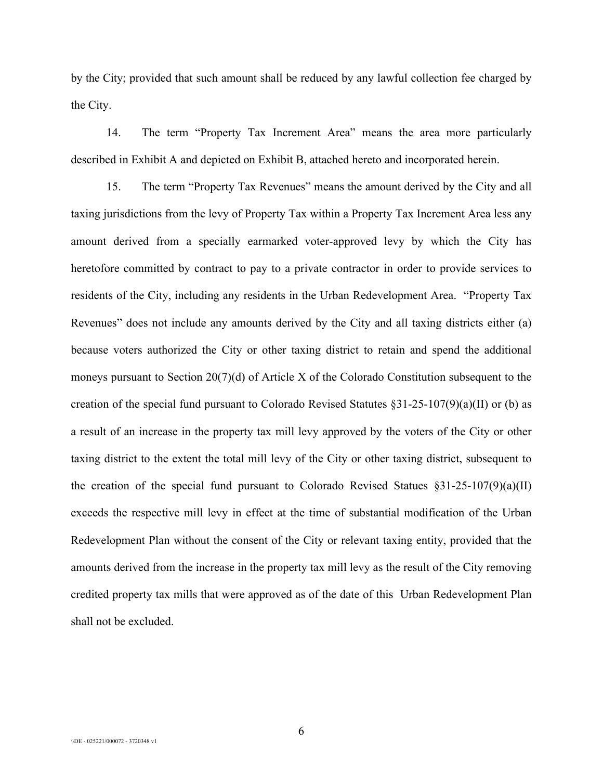by the City; provided that such amount shall be reduced by any lawful collection fee charged by the City.

14. The term "Property Tax Increment Area" means the area more particularly described in Exhibit A and depicted on Exhibit B, attached hereto and incorporated herein.

15. The term "Property Tax Revenues" means the amount derived by the City and all taxing jurisdictions from the levy of Property Tax within a Property Tax Increment Area less any amount derived from a specially earmarked voter-approved levy by which the City has heretofore committed by contract to pay to a private contractor in order to provide services to residents of the City, including any residents in the Urban Redevelopment Area. "Property Tax Revenues" does not include any amounts derived by the City and all taxing districts either (a) because voters authorized the City or other taxing district to retain and spend the additional moneys pursuant to Section 20(7)(d) of Article X of the Colorado Constitution subsequent to the creation of the special fund pursuant to Colorado Revised Statutes §31-25-107(9)(a)(II) or (b) as a result of an increase in the property tax mill levy approved by the voters of the City or other taxing district to the extent the total mill levy of the City or other taxing district, subsequent to the creation of the special fund pursuant to Colorado Revised Statues  $\S 31-25-107(9)(a)(II)$ exceeds the respective mill levy in effect at the time of substantial modification of the Urban Redevelopment Plan without the consent of the City or relevant taxing entity, provided that the amounts derived from the increase in the property tax mill levy as the result of the City removing credited property tax mills that were approved as of the date of this Urban Redevelopment Plan shall not be excluded.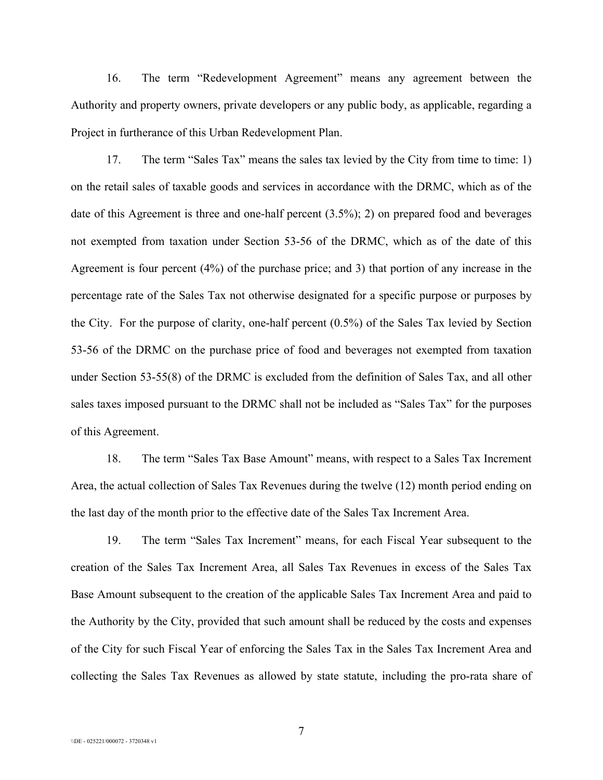16. The term "Redevelopment Agreement" means any agreement between the Authority and property owners, private developers or any public body, as applicable, regarding a Project in furtherance of this Urban Redevelopment Plan.

17. The term "Sales Tax" means the sales tax levied by the City from time to time: 1) on the retail sales of taxable goods and services in accordance with the DRMC, which as of the date of this Agreement is three and one-half percent (3.5%); 2) on prepared food and beverages not exempted from taxation under Section 53-56 of the DRMC, which as of the date of this Agreement is four percent (4%) of the purchase price; and 3) that portion of any increase in the percentage rate of the Sales Tax not otherwise designated for a specific purpose or purposes by the City. For the purpose of clarity, one-half percent (0.5%) of the Sales Tax levied by Section 53-56 of the DRMC on the purchase price of food and beverages not exempted from taxation under Section 53-55(8) of the DRMC is excluded from the definition of Sales Tax, and all other sales taxes imposed pursuant to the DRMC shall not be included as "Sales Tax" for the purposes of this Agreement.

18. The term "Sales Tax Base Amount" means, with respect to a Sales Tax Increment Area, the actual collection of Sales Tax Revenues during the twelve (12) month period ending on the last day of the month prior to the effective date of the Sales Tax Increment Area.

19. The term "Sales Tax Increment" means, for each Fiscal Year subsequent to the creation of the Sales Tax Increment Area, all Sales Tax Revenues in excess of the Sales Tax Base Amount subsequent to the creation of the applicable Sales Tax Increment Area and paid to the Authority by the City, provided that such amount shall be reduced by the costs and expenses of the City for such Fiscal Year of enforcing the Sales Tax in the Sales Tax Increment Area and collecting the Sales Tax Revenues as allowed by state statute, including the pro-rata share of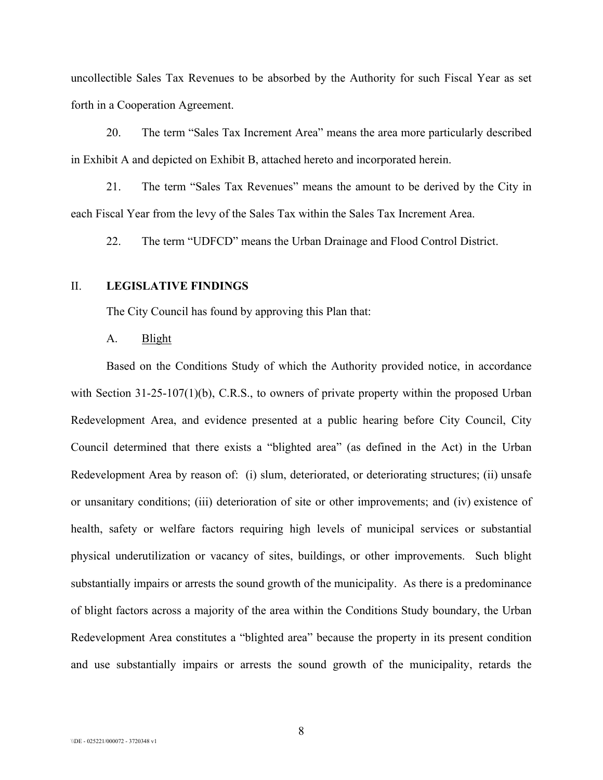uncollectible Sales Tax Revenues to be absorbed by the Authority for such Fiscal Year as set forth in a Cooperation Agreement.

20. The term "Sales Tax Increment Area" means the area more particularly described in Exhibit A and depicted on Exhibit B, attached hereto and incorporated herein.

21. The term "Sales Tax Revenues" means the amount to be derived by the City in each Fiscal Year from the levy of the Sales Tax within the Sales Tax Increment Area.

22. The term "UDFCD" means the Urban Drainage and Flood Control District.

#### II. **LEGISLATIVE FINDINGS**

The City Council has found by approving this Plan that:

#### A. Blight

Based on the Conditions Study of which the Authority provided notice, in accordance with Section 31-25-107(1)(b), C.R.S., to owners of private property within the proposed Urban Redevelopment Area, and evidence presented at a public hearing before City Council, City Council determined that there exists a "blighted area" (as defined in the Act) in the Urban Redevelopment Area by reason of: (i) slum, deteriorated, or deteriorating structures; (ii) unsafe or unsanitary conditions; (iii) deterioration of site or other improvements; and (iv) existence of health, safety or welfare factors requiring high levels of municipal services or substantial physical underutilization or vacancy of sites, buildings, or other improvements. Such blight substantially impairs or arrests the sound growth of the municipality. As there is a predominance of blight factors across a majority of the area within the Conditions Study boundary, the Urban Redevelopment Area constitutes a "blighted area" because the property in its present condition and use substantially impairs or arrests the sound growth of the municipality, retards the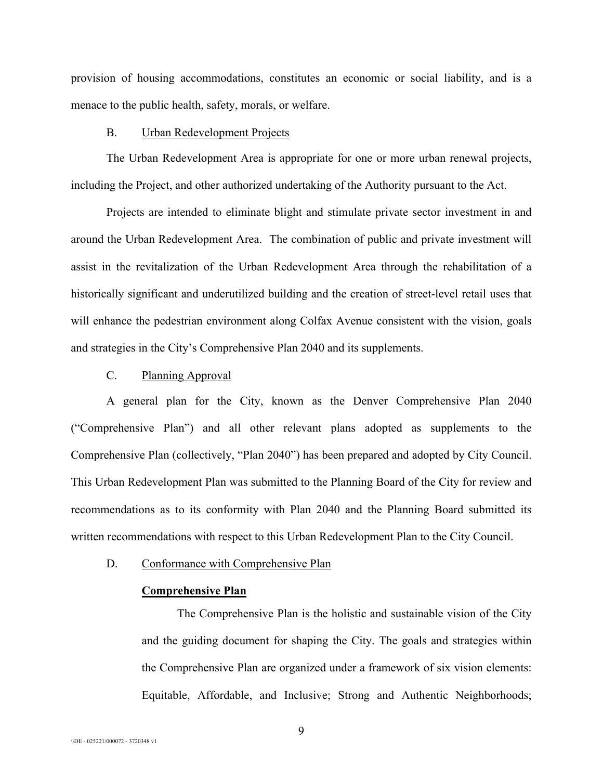provision of housing accommodations, constitutes an economic or social liability, and is a menace to the public health, safety, morals, or welfare.

#### B. Urban Redevelopment Projects

The Urban Redevelopment Area is appropriate for one or more urban renewal projects, including the Project, and other authorized undertaking of the Authority pursuant to the Act.

Projects are intended to eliminate blight and stimulate private sector investment in and around the Urban Redevelopment Area. The combination of public and private investment will assist in the revitalization of the Urban Redevelopment Area through the rehabilitation of a historically significant and underutilized building and the creation of street-level retail uses that will enhance the pedestrian environment along Colfax Avenue consistent with the vision, goals and strategies in the City's Comprehensive Plan 2040 and its supplements.

## C. Planning Approval

A general plan for the City, known as the Denver Comprehensive Plan 2040 ("Comprehensive Plan") and all other relevant plans adopted as supplements to the Comprehensive Plan (collectively, "Plan 2040") has been prepared and adopted by City Council. This Urban Redevelopment Plan was submitted to the Planning Board of the City for review and recommendations as to its conformity with Plan 2040 and the Planning Board submitted its written recommendations with respect to this Urban Redevelopment Plan to the City Council.

## D. Conformance with Comprehensive Plan

#### **Comprehensive Plan**

The Comprehensive Plan is the holistic and sustainable vision of the City and the guiding document for shaping the City. The goals and strategies within the Comprehensive Plan are organized under a framework of six vision elements: Equitable, Affordable, and Inclusive; Strong and Authentic Neighborhoods;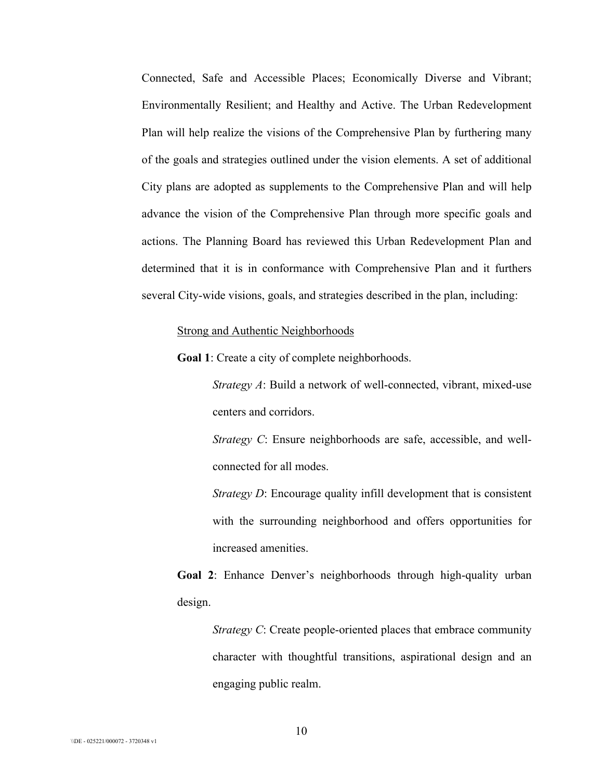Connected, Safe and Accessible Places; Economically Diverse and Vibrant; Environmentally Resilient; and Healthy and Active. The Urban Redevelopment Plan will help realize the visions of the Comprehensive Plan by furthering many of the goals and strategies outlined under the vision elements. A set of additional City plans are adopted as supplements to the Comprehensive Plan and will help advance the vision of the Comprehensive Plan through more specific goals and actions. The Planning Board has reviewed this Urban Redevelopment Plan and determined that it is in conformance with Comprehensive Plan and it furthers several City-wide visions, goals, and strategies described in the plan, including:

#### Strong and Authentic Neighborhoods

**Goal 1**: Create a city of complete neighborhoods.

*Strategy A*: Build a network of well-connected, vibrant, mixed-use centers and corridors.

*Strategy C*: Ensure neighborhoods are safe, accessible, and wellconnected for all modes.

*Strategy D*: Encourage quality infill development that is consistent with the surrounding neighborhood and offers opportunities for increased amenities.

**Goal 2**: Enhance Denver's neighborhoods through high-quality urban design.

*Strategy C*: Create people-oriented places that embrace community character with thoughtful transitions, aspirational design and an engaging public realm.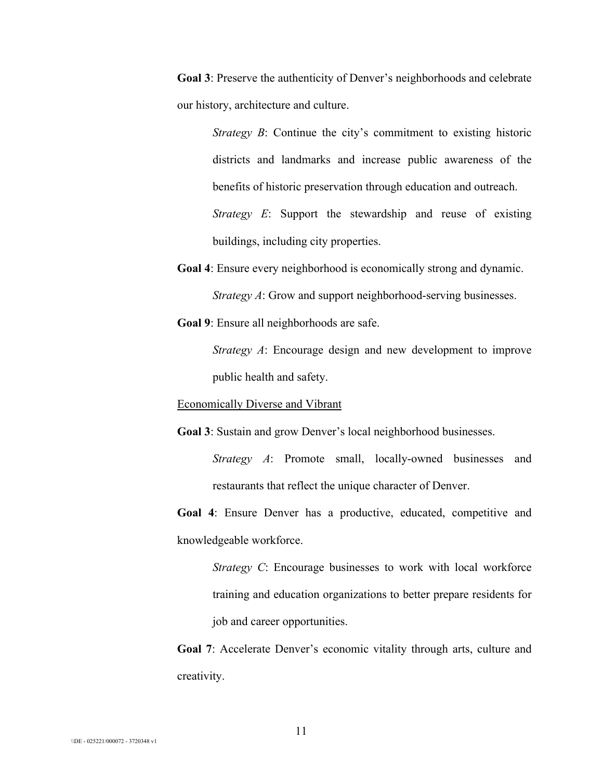**Goal 3**: Preserve the authenticity of Denver's neighborhoods and celebrate our history, architecture and culture.

> *Strategy B*: Continue the city's commitment to existing historic districts and landmarks and increase public awareness of the benefits of historic preservation through education and outreach. *Strategy E*: Support the stewardship and reuse of existing

buildings, including city properties.

- **Goal 4**: Ensure every neighborhood is economically strong and dynamic. *Strategy A*: Grow and support neighborhood-serving businesses.
- **Goal 9**: Ensure all neighborhoods are safe.

*Strategy A*: Encourage design and new development to improve public health and safety.

Economically Diverse and Vibrant

**Goal 3**: Sustain and grow Denver's local neighborhood businesses.

*Strategy A*: Promote small, locally-owned businesses and restaurants that reflect the unique character of Denver.

**Goal 4**: Ensure Denver has a productive, educated, competitive and knowledgeable workforce.

*Strategy C*: Encourage businesses to work with local workforce training and education organizations to better prepare residents for job and career opportunities.

**Goal 7**: Accelerate Denver's economic vitality through arts, culture and creativity.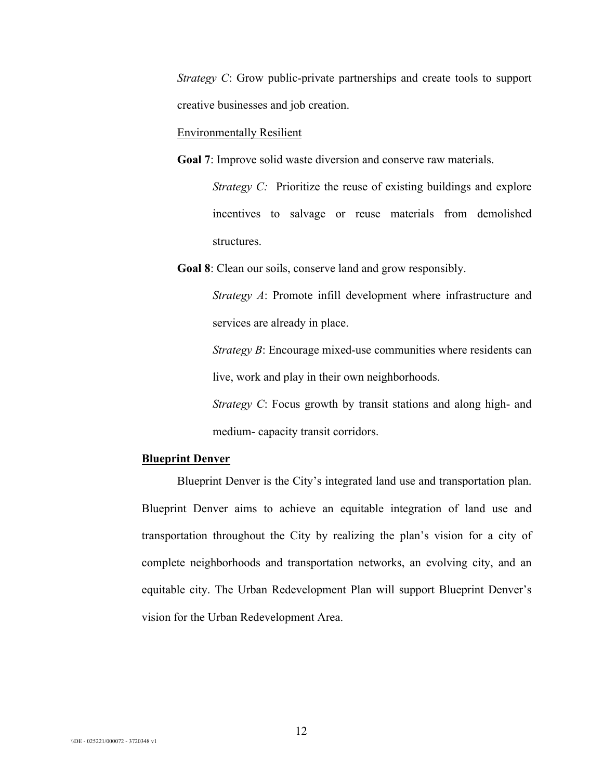*Strategy C*: Grow public-private partnerships and create tools to support creative businesses and job creation.

Environmentally Resilient

**Goal 7**: Improve solid waste diversion and conserve raw materials.

*Strategy C:* Prioritize the reuse of existing buildings and explore incentives to salvage or reuse materials from demolished structures.

**Goal 8**: Clean our soils, conserve land and grow responsibly.

*Strategy A*: Promote infill development where infrastructure and services are already in place.

*Strategy B*: Encourage mixed-use communities where residents can live, work and play in their own neighborhoods.

*Strategy C*: Focus growth by transit stations and along high- and medium- capacity transit corridors.

### **Blueprint Denver**

Blueprint Denver is the City's integrated land use and transportation plan. Blueprint Denver aims to achieve an equitable integration of land use and transportation throughout the City by realizing the plan's vision for a city of complete neighborhoods and transportation networks, an evolving city, and an equitable city. The Urban Redevelopment Plan will support Blueprint Denver's vision for the Urban Redevelopment Area.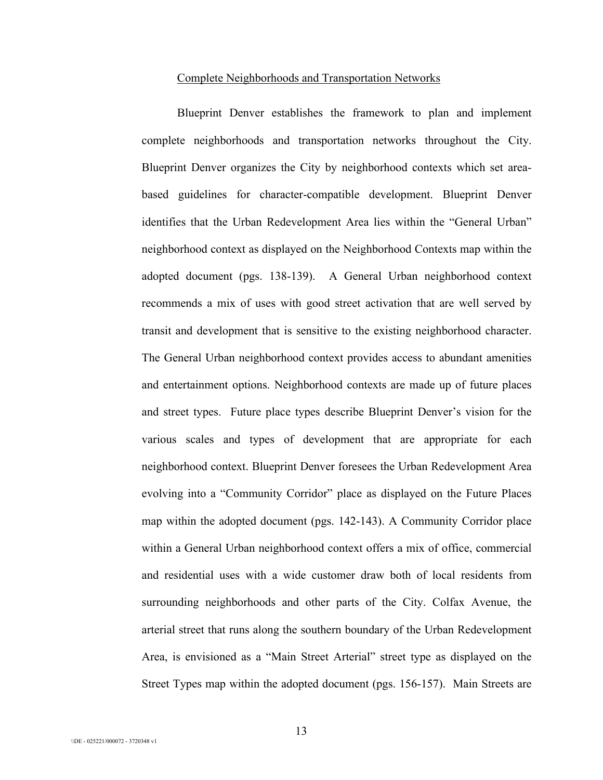#### Complete Neighborhoods and Transportation Networks

Blueprint Denver establishes the framework to plan and implement complete neighborhoods and transportation networks throughout the City. Blueprint Denver organizes the City by neighborhood contexts which set areabased guidelines for character-compatible development. Blueprint Denver identifies that the Urban Redevelopment Area lies within the "General Urban" neighborhood context as displayed on the Neighborhood Contexts map within the adopted document (pgs. 138-139). A General Urban neighborhood context recommends a mix of uses with good street activation that are well served by transit and development that is sensitive to the existing neighborhood character. The General Urban neighborhood context provides access to abundant amenities and entertainment options. Neighborhood contexts are made up of future places and street types. Future place types describe Blueprint Denver's vision for the various scales and types of development that are appropriate for each neighborhood context. Blueprint Denver foresees the Urban Redevelopment Area evolving into a "Community Corridor" place as displayed on the Future Places map within the adopted document (pgs. 142-143). A Community Corridor place within a General Urban neighborhood context offers a mix of office, commercial and residential uses with a wide customer draw both of local residents from surrounding neighborhoods and other parts of the City. Colfax Avenue, the arterial street that runs along the southern boundary of the Urban Redevelopment Area, is envisioned as a "Main Street Arterial" street type as displayed on the Street Types map within the adopted document (pgs. 156-157). Main Streets are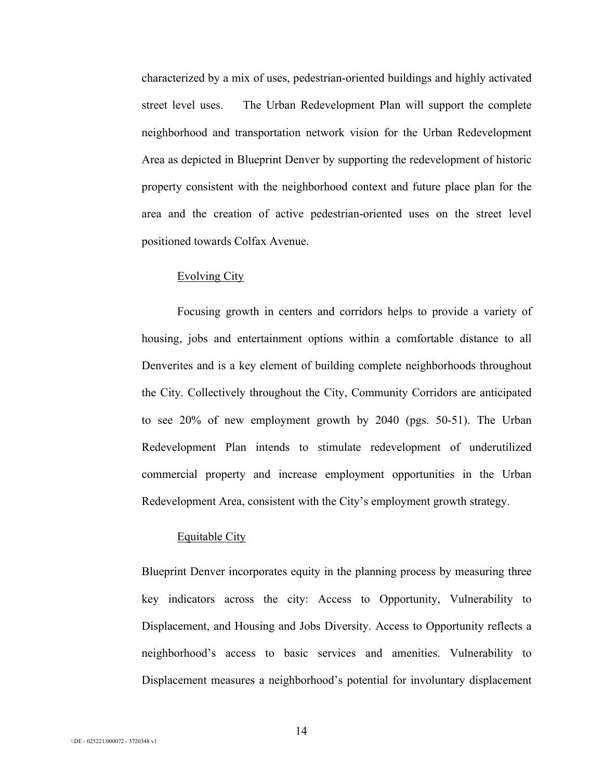characterized by a mix of uses, pedestrian-oriented buildings and highly activated street level uses. The Urban Redevelopment Plan will support the complete neighborhood and transportation network vision for the Urban Redevelopment Area as depicted in Blueprint Denver by supporting the redevelopment of historic property consistent with the neighborhood context and future place plan for the area and the creation of active pedestrian-oriented uses on the street level positioned towards Colfax Avenue.

#### Evolving City

Focusing growth in centers and corridors helps to provide a variety of housing, jobs and entertainment options within a comfortable distance to all Denverites and is a key element of building complete neighborhoods throughout the City. Collectively throughout the City, Community Corridors are anticipated to see 20% of new employment growth by 2040 (pgs. 50-51). The Urban Redevelopment Plan intends to stimulate redevelopment of underutilized commercial property and increase employment opportunities in the Urban Redevelopment Area, consistent with the City's employment growth strategy.

## Equitable City

Blueprint Denver incorporates equity in the planning process by measuring three key indicators across the city: Access to Opportunity, Vulnerability to Displacement, and Housing and Jobs Diversity. Access to Opportunity reflects a neighborhood's access to basic services and amenities. Vulnerability to Displacement measures a neighborhood's potential for involuntary displacement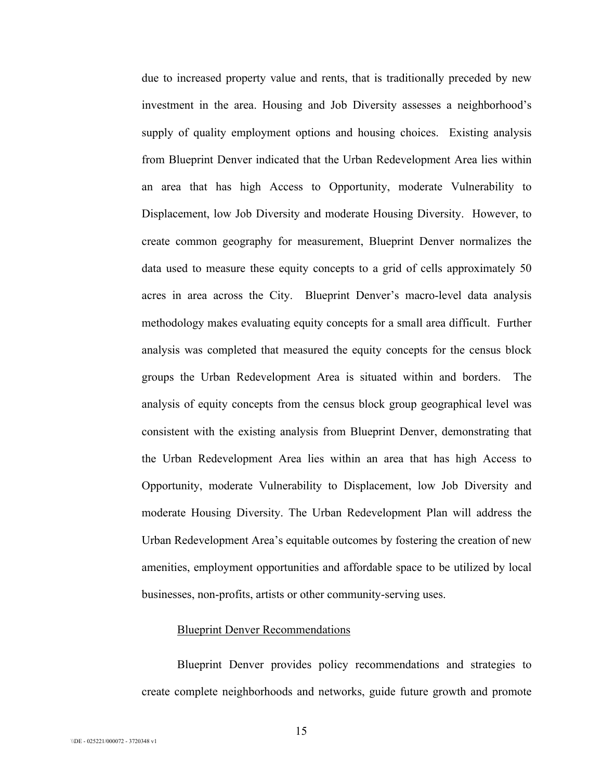due to increased property value and rents, that is traditionally preceded by new investment in the area. Housing and Job Diversity assesses a neighborhood's supply of quality employment options and housing choices. Existing analysis from Blueprint Denver indicated that the Urban Redevelopment Area lies within an area that has high Access to Opportunity, moderate Vulnerability to Displacement, low Job Diversity and moderate Housing Diversity. However, to create common geography for measurement, Blueprint Denver normalizes the data used to measure these equity concepts to a grid of cells approximately 50 acres in area across the City. Blueprint Denver's macro-level data analysis methodology makes evaluating equity concepts for a small area difficult. Further analysis was completed that measured the equity concepts for the census block groups the Urban Redevelopment Area is situated within and borders. The analysis of equity concepts from the census block group geographical level was consistent with the existing analysis from Blueprint Denver, demonstrating that the Urban Redevelopment Area lies within an area that has high Access to Opportunity, moderate Vulnerability to Displacement, low Job Diversity and moderate Housing Diversity. The Urban Redevelopment Plan will address the Urban Redevelopment Area's equitable outcomes by fostering the creation of new amenities, employment opportunities and affordable space to be utilized by local businesses, non-profits, artists or other community-serving uses.

#### Blueprint Denver Recommendations

Blueprint Denver provides policy recommendations and strategies to create complete neighborhoods and networks, guide future growth and promote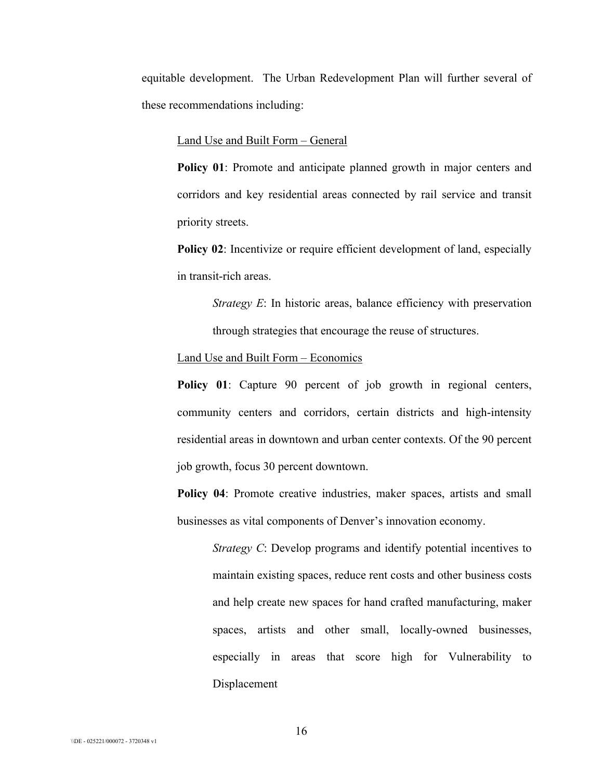equitable development. The Urban Redevelopment Plan will further several of these recommendations including:

#### Land Use and Built Form – General

**Policy 01**: Promote and anticipate planned growth in major centers and corridors and key residential areas connected by rail service and transit priority streets.

**Policy 02:** Incentivize or require efficient development of land, especially in transit-rich areas.

> *Strategy E*: In historic areas, balance efficiency with preservation through strategies that encourage the reuse of structures.

#### Land Use and Built Form – Economics

**Policy 01**: Capture 90 percent of job growth in regional centers, community centers and corridors, certain districts and high-intensity residential areas in downtown and urban center contexts. Of the 90 percent job growth, focus 30 percent downtown.

**Policy 04:** Promote creative industries, maker spaces, artists and small businesses as vital components of Denver's innovation economy.

*Strategy C*: Develop programs and identify potential incentives to maintain existing spaces, reduce rent costs and other business costs and help create new spaces for hand crafted manufacturing, maker spaces, artists and other small, locally-owned businesses, especially in areas that score high for Vulnerability to Displacement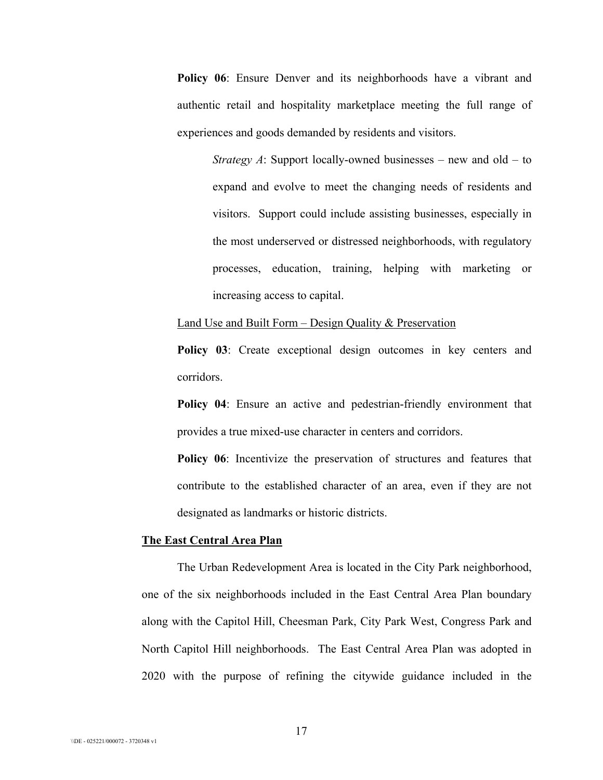Policy 06: Ensure Denver and its neighborhoods have a vibrant and authentic retail and hospitality marketplace meeting the full range of experiences and goods demanded by residents and visitors.

> *Strategy A*: Support locally-owned businesses – new and old – to expand and evolve to meet the changing needs of residents and visitors. Support could include assisting businesses, especially in the most underserved or distressed neighborhoods, with regulatory processes, education, training, helping with marketing or increasing access to capital.

### Land Use and Built Form – Design Quality & Preservation

**Policy 03**: Create exceptional design outcomes in key centers and corridors.

**Policy 04**: Ensure an active and pedestrian-friendly environment that provides a true mixed-use character in centers and corridors.

**Policy 06:** Incentivize the preservation of structures and features that contribute to the established character of an area, even if they are not designated as landmarks or historic districts.

#### **The East Central Area Plan**

The Urban Redevelopment Area is located in the City Park neighborhood, one of the six neighborhoods included in the East Central Area Plan boundary along with the Capitol Hill, Cheesman Park, City Park West, Congress Park and North Capitol Hill neighborhoods. The East Central Area Plan was adopted in 2020 with the purpose of refining the citywide guidance included in the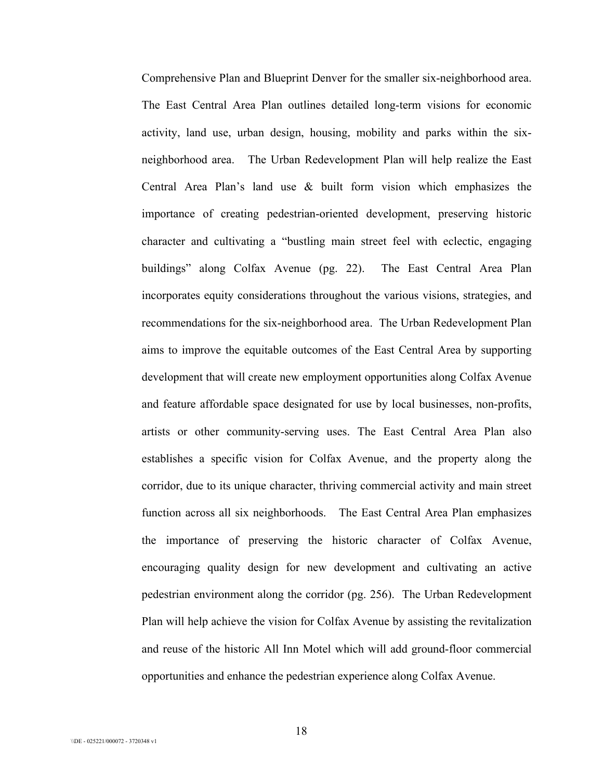Comprehensive Plan and Blueprint Denver for the smaller six-neighborhood area. The East Central Area Plan outlines detailed long-term visions for economic activity, land use, urban design, housing, mobility and parks within the sixneighborhood area. The Urban Redevelopment Plan will help realize the East Central Area Plan's land use & built form vision which emphasizes the importance of creating pedestrian-oriented development, preserving historic character and cultivating a "bustling main street feel with eclectic, engaging buildings" along Colfax Avenue (pg. 22). The East Central Area Plan incorporates equity considerations throughout the various visions, strategies, and recommendations for the six-neighborhood area. The Urban Redevelopment Plan aims to improve the equitable outcomes of the East Central Area by supporting development that will create new employment opportunities along Colfax Avenue and feature affordable space designated for use by local businesses, non-profits, artists or other community-serving uses. The East Central Area Plan also establishes a specific vision for Colfax Avenue, and the property along the corridor, due to its unique character, thriving commercial activity and main street function across all six neighborhoods. The East Central Area Plan emphasizes the importance of preserving the historic character of Colfax Avenue, encouraging quality design for new development and cultivating an active pedestrian environment along the corridor (pg. 256). The Urban Redevelopment Plan will help achieve the vision for Colfax Avenue by assisting the revitalization and reuse of the historic All Inn Motel which will add ground-floor commercial opportunities and enhance the pedestrian experience along Colfax Avenue.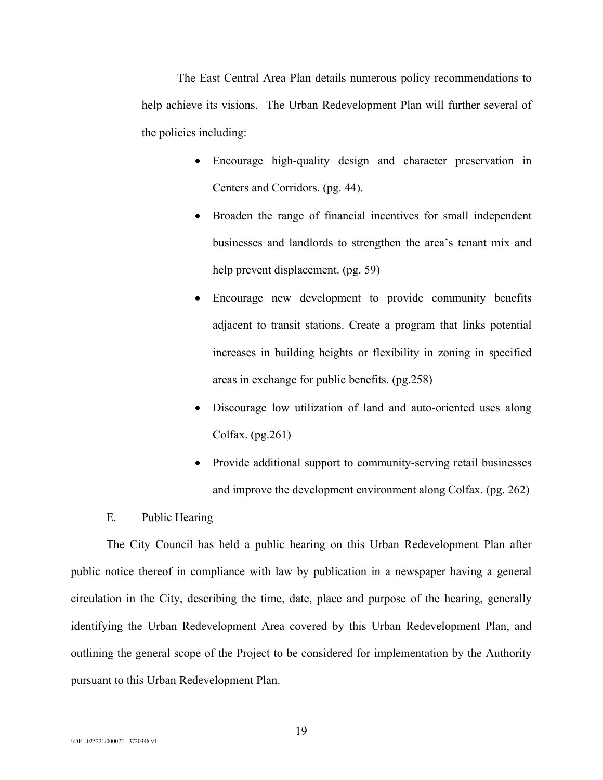The East Central Area Plan details numerous policy recommendations to help achieve its visions. The Urban Redevelopment Plan will further several of the policies including:

- Encourage high-quality design and character preservation in Centers and Corridors. (pg. 44).
- Broaden the range of financial incentives for small independent businesses and landlords to strengthen the area's tenant mix and help prevent displacement. (pg. 59)
- Encourage new development to provide community benefits adjacent to transit stations. Create a program that links potential increases in building heights or flexibility in zoning in specified areas in exchange for public benefits. (pg.258)
- Discourage low utilization of land and auto-oriented uses along Colfax.  $(pg.261)$
- Provide additional support to community-serving retail businesses and improve the development environment along Colfax. (pg. 262)

### E. Public Hearing

The City Council has held a public hearing on this Urban Redevelopment Plan after public notice thereof in compliance with law by publication in a newspaper having a general circulation in the City, describing the time, date, place and purpose of the hearing, generally identifying the Urban Redevelopment Area covered by this Urban Redevelopment Plan, and outlining the general scope of the Project to be considered for implementation by the Authority pursuant to this Urban Redevelopment Plan.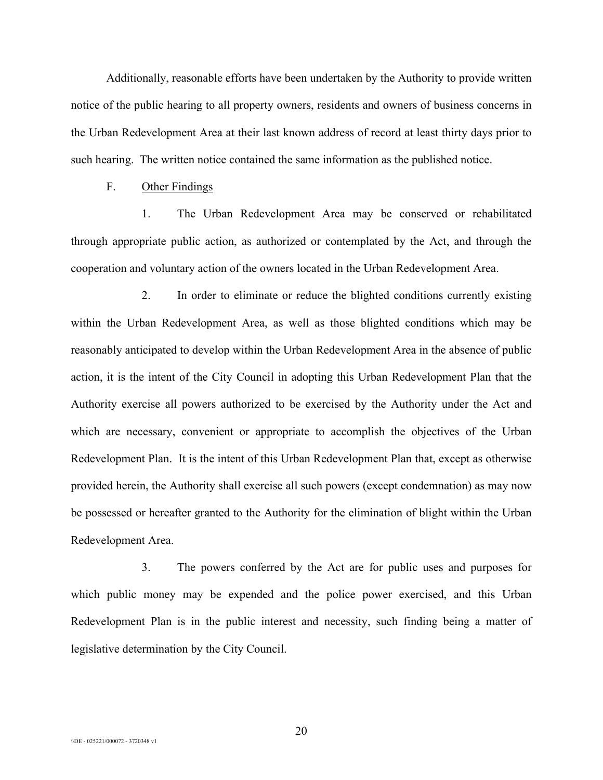Additionally, reasonable efforts have been undertaken by the Authority to provide written notice of the public hearing to all property owners, residents and owners of business concerns in the Urban Redevelopment Area at their last known address of record at least thirty days prior to such hearing. The written notice contained the same information as the published notice.

## F. Other Findings

1. The Urban Redevelopment Area may be conserved or rehabilitated through appropriate public action, as authorized or contemplated by the Act, and through the cooperation and voluntary action of the owners located in the Urban Redevelopment Area.

2. In order to eliminate or reduce the blighted conditions currently existing within the Urban Redevelopment Area, as well as those blighted conditions which may be reasonably anticipated to develop within the Urban Redevelopment Area in the absence of public action, it is the intent of the City Council in adopting this Urban Redevelopment Plan that the Authority exercise all powers authorized to be exercised by the Authority under the Act and which are necessary, convenient or appropriate to accomplish the objectives of the Urban Redevelopment Plan. It is the intent of this Urban Redevelopment Plan that, except as otherwise provided herein, the Authority shall exercise all such powers (except condemnation) as may now be possessed or hereafter granted to the Authority for the elimination of blight within the Urban Redevelopment Area.

3. The powers conferred by the Act are for public uses and purposes for which public money may be expended and the police power exercised, and this Urban Redevelopment Plan is in the public interest and necessity, such finding being a matter of legislative determination by the City Council.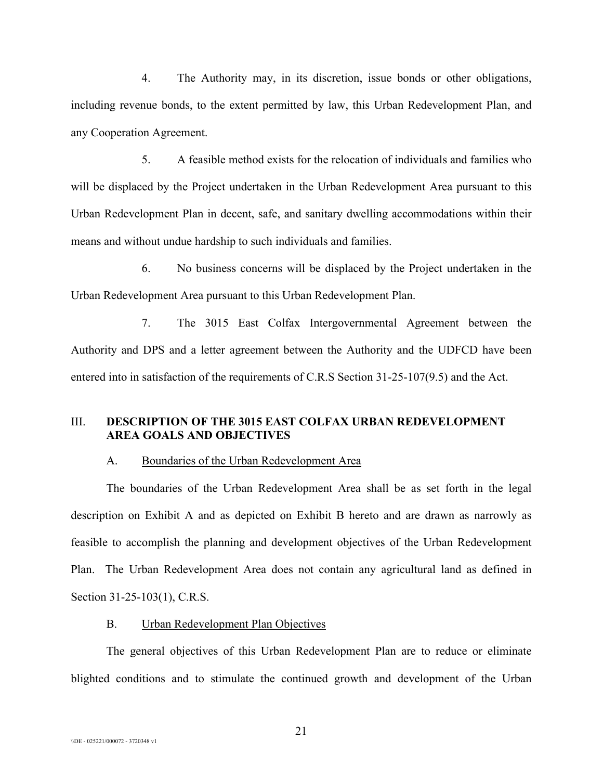4. The Authority may, in its discretion, issue bonds or other obligations, including revenue bonds, to the extent permitted by law, this Urban Redevelopment Plan, and any Cooperation Agreement.

5. A feasible method exists for the relocation of individuals and families who will be displaced by the Project undertaken in the Urban Redevelopment Area pursuant to this Urban Redevelopment Plan in decent, safe, and sanitary dwelling accommodations within their means and without undue hardship to such individuals and families.

6. No business concerns will be displaced by the Project undertaken in the Urban Redevelopment Area pursuant to this Urban Redevelopment Plan.

7. The 3015 East Colfax Intergovernmental Agreement between the Authority and DPS and a letter agreement between the Authority and the UDFCD have been entered into in satisfaction of the requirements of C.R.S Section 31-25-107(9.5) and the Act.

## III. **DESCRIPTION OF THE 3015 EAST COLFAX URBAN REDEVELOPMENT AREA GOALS AND OBJECTIVES**

#### A. Boundaries of the Urban Redevelopment Area

The boundaries of the Urban Redevelopment Area shall be as set forth in the legal description on Exhibit A and as depicted on Exhibit B hereto and are drawn as narrowly as feasible to accomplish the planning and development objectives of the Urban Redevelopment Plan. The Urban Redevelopment Area does not contain any agricultural land as defined in Section 31-25-103(1), C.R.S.

#### B. Urban Redevelopment Plan Objectives

The general objectives of this Urban Redevelopment Plan are to reduce or eliminate blighted conditions and to stimulate the continued growth and development of the Urban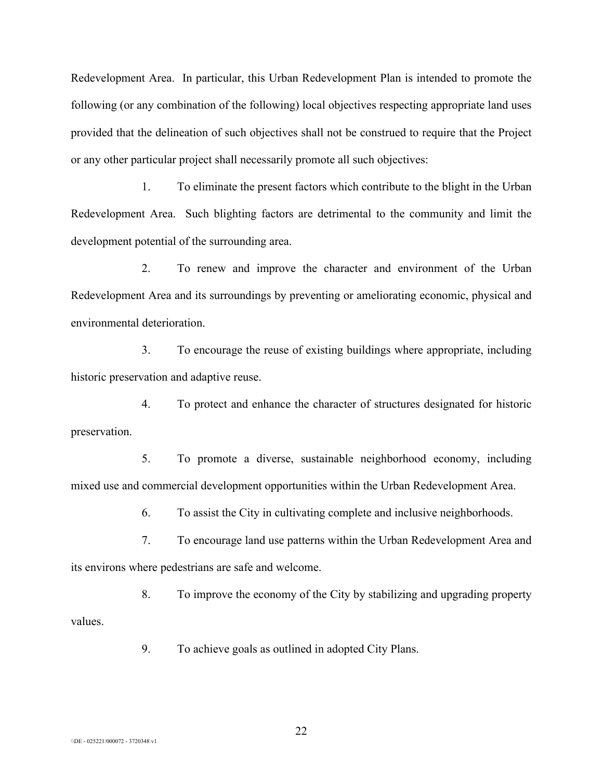Redevelopment Area. In particular, this Urban Redevelopment Plan is intended to promote the following (or any combination of the following) local objectives respecting appropriate land uses provided that the delineation of such objectives shall not be construed to require that the Project or any other particular project shall necessarily promote all such objectives:

1. To eliminate the present factors which contribute to the blight in the Urban Redevelopment Area. Such blighting factors are detrimental to the community and limit the development potential of the surrounding area.

2. To renew and improve the character and environment of the Urban Redevelopment Area and its surroundings by preventing or ameliorating economic, physical and environmental deterioration.

3. To encourage the reuse of existing buildings where appropriate, including historic preservation and adaptive reuse.

4. To protect and enhance the character of structures designated for historic preservation.

5. To promote a diverse, sustainable neighborhood economy, including mixed use and commercial development opportunities within the Urban Redevelopment Area.

6. To assist the City in cultivating complete and inclusive neighborhoods.

7. To encourage land use patterns within the Urban Redevelopment Area and its environs where pedestrians are safe and welcome.

8. To improve the economy of the City by stabilizing and upgrading property values.

9. To achieve goals as outlined in adopted City Plans.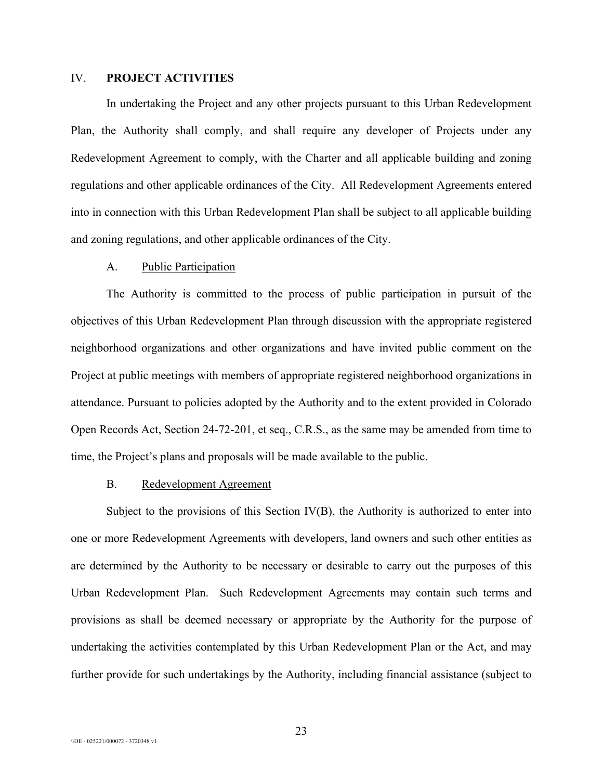## IV. **PROJECT ACTIVITIES**

In undertaking the Project and any other projects pursuant to this Urban Redevelopment Plan, the Authority shall comply, and shall require any developer of Projects under any Redevelopment Agreement to comply, with the Charter and all applicable building and zoning regulations and other applicable ordinances of the City. All Redevelopment Agreements entered into in connection with this Urban Redevelopment Plan shall be subject to all applicable building and zoning regulations, and other applicable ordinances of the City.

#### A. Public Participation

The Authority is committed to the process of public participation in pursuit of the objectives of this Urban Redevelopment Plan through discussion with the appropriate registered neighborhood organizations and other organizations and have invited public comment on the Project at public meetings with members of appropriate registered neighborhood organizations in attendance. Pursuant to policies adopted by the Authority and to the extent provided in Colorado Open Records Act, Section 24-72-201, et seq., C.R.S., as the same may be amended from time to time, the Project's plans and proposals will be made available to the public.

## B. Redevelopment Agreement

Subject to the provisions of this Section IV(B), the Authority is authorized to enter into one or more Redevelopment Agreements with developers, land owners and such other entities as are determined by the Authority to be necessary or desirable to carry out the purposes of this Urban Redevelopment Plan. Such Redevelopment Agreements may contain such terms and provisions as shall be deemed necessary or appropriate by the Authority for the purpose of undertaking the activities contemplated by this Urban Redevelopment Plan or the Act, and may further provide for such undertakings by the Authority, including financial assistance (subject to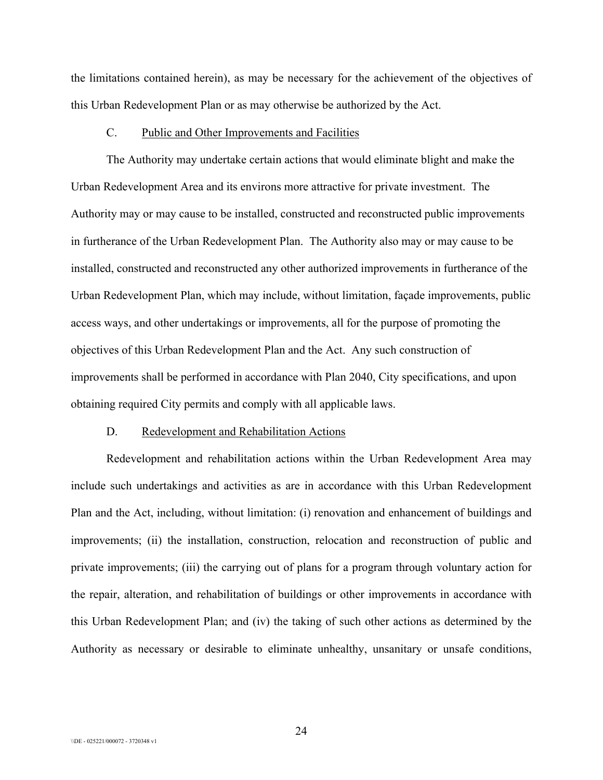the limitations contained herein), as may be necessary for the achievement of the objectives of this Urban Redevelopment Plan or as may otherwise be authorized by the Act.

#### C. Public and Other Improvements and Facilities

The Authority may undertake certain actions that would eliminate blight and make the Urban Redevelopment Area and its environs more attractive for private investment. The Authority may or may cause to be installed, constructed and reconstructed public improvements in furtherance of the Urban Redevelopment Plan. The Authority also may or may cause to be installed, constructed and reconstructed any other authorized improvements in furtherance of the Urban Redevelopment Plan, which may include, without limitation, façade improvements, public access ways, and other undertakings or improvements, all for the purpose of promoting the objectives of this Urban Redevelopment Plan and the Act. Any such construction of improvements shall be performed in accordance with Plan 2040, City specifications, and upon obtaining required City permits and comply with all applicable laws.

#### D. Redevelopment and Rehabilitation Actions

Redevelopment and rehabilitation actions within the Urban Redevelopment Area may include such undertakings and activities as are in accordance with this Urban Redevelopment Plan and the Act, including, without limitation: (i) renovation and enhancement of buildings and improvements; (ii) the installation, construction, relocation and reconstruction of public and private improvements; (iii) the carrying out of plans for a program through voluntary action for the repair, alteration, and rehabilitation of buildings or other improvements in accordance with this Urban Redevelopment Plan; and (iv) the taking of such other actions as determined by the Authority as necessary or desirable to eliminate unhealthy, unsanitary or unsafe conditions,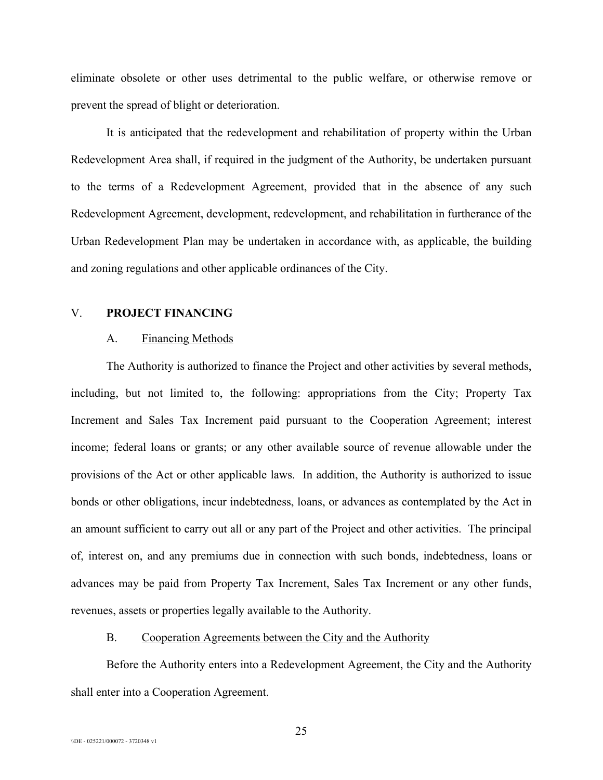eliminate obsolete or other uses detrimental to the public welfare, or otherwise remove or prevent the spread of blight or deterioration.

It is anticipated that the redevelopment and rehabilitation of property within the Urban Redevelopment Area shall, if required in the judgment of the Authority, be undertaken pursuant to the terms of a Redevelopment Agreement, provided that in the absence of any such Redevelopment Agreement, development, redevelopment, and rehabilitation in furtherance of the Urban Redevelopment Plan may be undertaken in accordance with, as applicable, the building and zoning regulations and other applicable ordinances of the City.

#### V. **PROJECT FINANCING**

#### A. Financing Methods

The Authority is authorized to finance the Project and other activities by several methods, including, but not limited to, the following: appropriations from the City; Property Tax Increment and Sales Tax Increment paid pursuant to the Cooperation Agreement; interest income; federal loans or grants; or any other available source of revenue allowable under the provisions of the Act or other applicable laws. In addition, the Authority is authorized to issue bonds or other obligations, incur indebtedness, loans, or advances as contemplated by the Act in an amount sufficient to carry out all or any part of the Project and other activities. The principal of, interest on, and any premiums due in connection with such bonds, indebtedness, loans or advances may be paid from Property Tax Increment, Sales Tax Increment or any other funds, revenues, assets or properties legally available to the Authority.

#### B. Cooperation Agreements between the City and the Authority

Before the Authority enters into a Redevelopment Agreement, the City and the Authority shall enter into a Cooperation Agreement.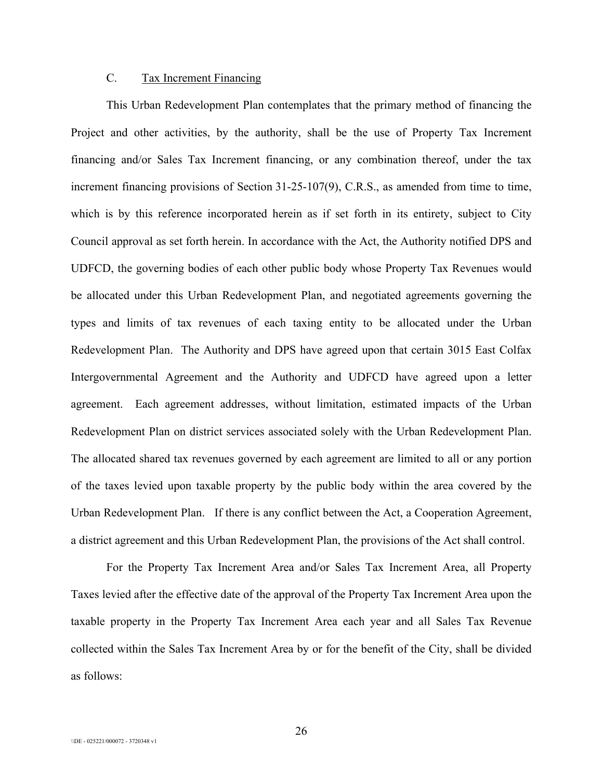## C. Tax Increment Financing

This Urban Redevelopment Plan contemplates that the primary method of financing the Project and other activities, by the authority, shall be the use of Property Tax Increment financing and/or Sales Tax Increment financing, or any combination thereof, under the tax increment financing provisions of Section 31-25-107(9), C.R.S., as amended from time to time, which is by this reference incorporated herein as if set forth in its entirety, subject to City Council approval as set forth herein. In accordance with the Act, the Authority notified DPS and UDFCD, the governing bodies of each other public body whose Property Tax Revenues would be allocated under this Urban Redevelopment Plan, and negotiated agreements governing the types and limits of tax revenues of each taxing entity to be allocated under the Urban Redevelopment Plan. The Authority and DPS have agreed upon that certain 3015 East Colfax Intergovernmental Agreement and the Authority and UDFCD have agreed upon a letter agreement. Each agreement addresses, without limitation, estimated impacts of the Urban Redevelopment Plan on district services associated solely with the Urban Redevelopment Plan. The allocated shared tax revenues governed by each agreement are limited to all or any portion of the taxes levied upon taxable property by the public body within the area covered by the Urban Redevelopment Plan. If there is any conflict between the Act, a Cooperation Agreement, a district agreement and this Urban Redevelopment Plan, the provisions of the Act shall control.

For the Property Tax Increment Area and/or Sales Tax Increment Area, all Property Taxes levied after the effective date of the approval of the Property Tax Increment Area upon the taxable property in the Property Tax Increment Area each year and all Sales Tax Revenue collected within the Sales Tax Increment Area by or for the benefit of the City, shall be divided as follows: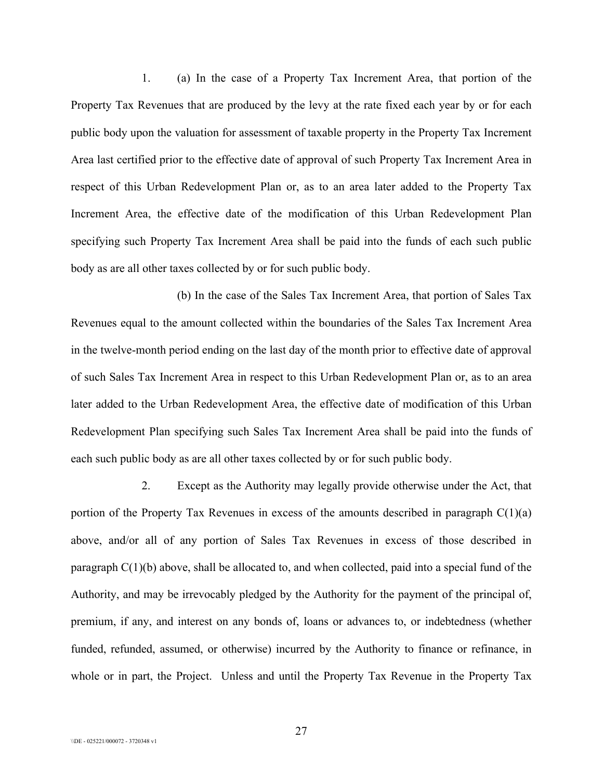1. (a) In the case of a Property Tax Increment Area, that portion of the Property Tax Revenues that are produced by the levy at the rate fixed each year by or for each public body upon the valuation for assessment of taxable property in the Property Tax Increment Area last certified prior to the effective date of approval of such Property Tax Increment Area in respect of this Urban Redevelopment Plan or, as to an area later added to the Property Tax Increment Area, the effective date of the modification of this Urban Redevelopment Plan specifying such Property Tax Increment Area shall be paid into the funds of each such public body as are all other taxes collected by or for such public body.

(b) In the case of the Sales Tax Increment Area, that portion of Sales Tax Revenues equal to the amount collected within the boundaries of the Sales Tax Increment Area in the twelve-month period ending on the last day of the month prior to effective date of approval of such Sales Tax Increment Area in respect to this Urban Redevelopment Plan or, as to an area later added to the Urban Redevelopment Area, the effective date of modification of this Urban Redevelopment Plan specifying such Sales Tax Increment Area shall be paid into the funds of each such public body as are all other taxes collected by or for such public body.

2. Except as the Authority may legally provide otherwise under the Act, that portion of the Property Tax Revenues in excess of the amounts described in paragraph  $C(1)(a)$ above, and/or all of any portion of Sales Tax Revenues in excess of those described in paragraph  $C(1)(b)$  above, shall be allocated to, and when collected, paid into a special fund of the Authority, and may be irrevocably pledged by the Authority for the payment of the principal of, premium, if any, and interest on any bonds of, loans or advances to, or indebtedness (whether funded, refunded, assumed, or otherwise) incurred by the Authority to finance or refinance, in whole or in part, the Project. Unless and until the Property Tax Revenue in the Property Tax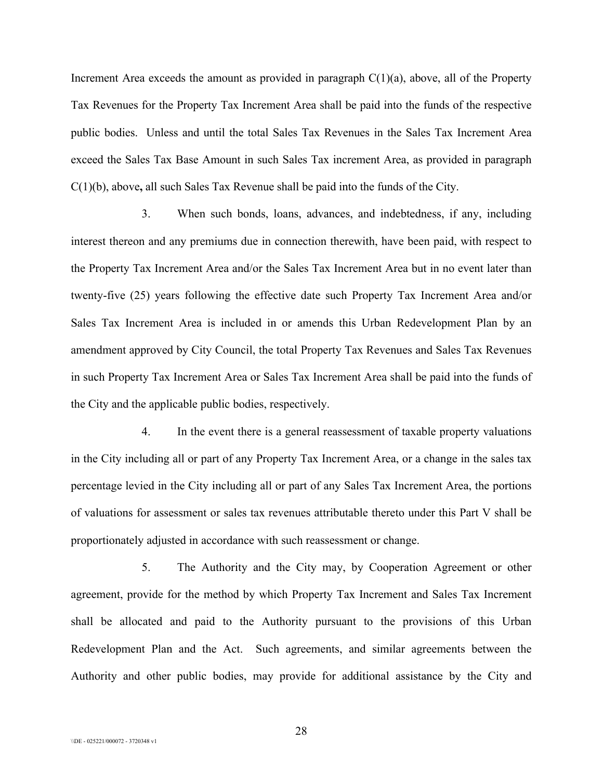Increment Area exceeds the amount as provided in paragraph  $C(1)(a)$ , above, all of the Property Tax Revenues for the Property Tax Increment Area shall be paid into the funds of the respective public bodies. Unless and until the total Sales Tax Revenues in the Sales Tax Increment Area exceed the Sales Tax Base Amount in such Sales Tax increment Area, as provided in paragraph C(1)(b), above**,** all such Sales Tax Revenue shall be paid into the funds of the City.

3. When such bonds, loans, advances, and indebtedness, if any, including interest thereon and any premiums due in connection therewith, have been paid, with respect to the Property Tax Increment Area and/or the Sales Tax Increment Area but in no event later than twenty-five (25) years following the effective date such Property Tax Increment Area and/or Sales Tax Increment Area is included in or amends this Urban Redevelopment Plan by an amendment approved by City Council, the total Property Tax Revenues and Sales Tax Revenues in such Property Tax Increment Area or Sales Tax Increment Area shall be paid into the funds of the City and the applicable public bodies, respectively.

4. In the event there is a general reassessment of taxable property valuations in the City including all or part of any Property Tax Increment Area, or a change in the sales tax percentage levied in the City including all or part of any Sales Tax Increment Area, the portions of valuations for assessment or sales tax revenues attributable thereto under this Part V shall be proportionately adjusted in accordance with such reassessment or change.

5. The Authority and the City may, by Cooperation Agreement or other agreement, provide for the method by which Property Tax Increment and Sales Tax Increment shall be allocated and paid to the Authority pursuant to the provisions of this Urban Redevelopment Plan and the Act. Such agreements, and similar agreements between the Authority and other public bodies, may provide for additional assistance by the City and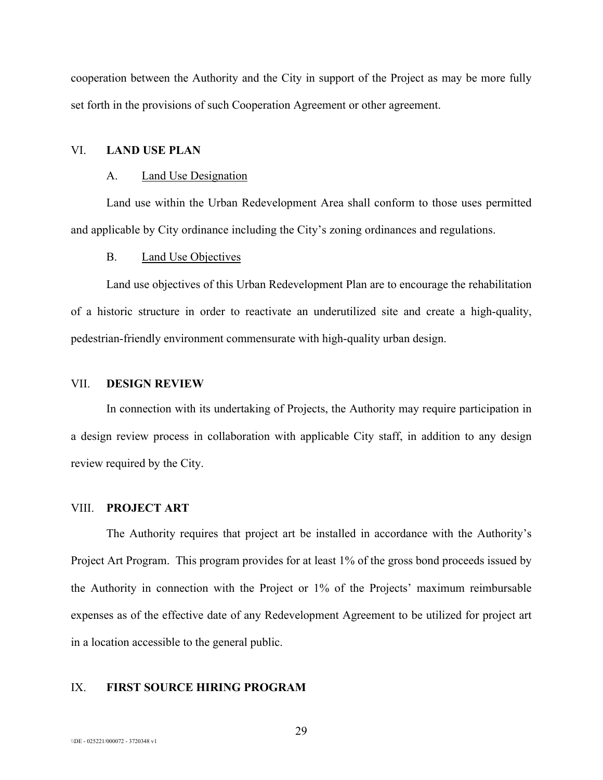cooperation between the Authority and the City in support of the Project as may be more fully set forth in the provisions of such Cooperation Agreement or other agreement.

## VI. **LAND USE PLAN**

#### A. Land Use Designation

Land use within the Urban Redevelopment Area shall conform to those uses permitted and applicable by City ordinance including the City's zoning ordinances and regulations.

#### B. Land Use Objectives

Land use objectives of this Urban Redevelopment Plan are to encourage the rehabilitation of a historic structure in order to reactivate an underutilized site and create a high-quality, pedestrian-friendly environment commensurate with high-quality urban design.

#### VII. **DESIGN REVIEW**

In connection with its undertaking of Projects, the Authority may require participation in a design review process in collaboration with applicable City staff, in addition to any design review required by the City.

#### VIII. **PROJECT ART**

The Authority requires that project art be installed in accordance with the Authority's Project Art Program. This program provides for at least 1% of the gross bond proceeds issued by the Authority in connection with the Project or 1% of the Projects' maximum reimbursable expenses as of the effective date of any Redevelopment Agreement to be utilized for project art in a location accessible to the general public.

### IX. **FIRST SOURCE HIRING PROGRAM**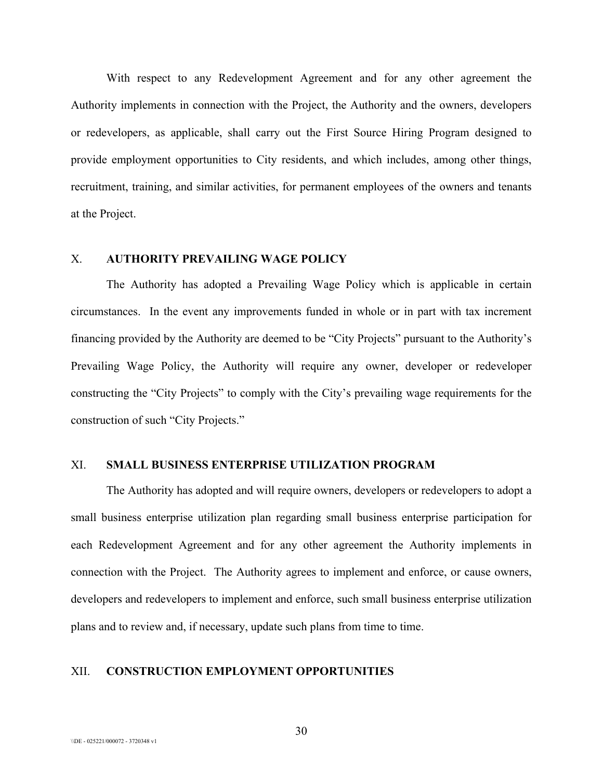With respect to any Redevelopment Agreement and for any other agreement the Authority implements in connection with the Project, the Authority and the owners, developers or redevelopers, as applicable, shall carry out the First Source Hiring Program designed to provide employment opportunities to City residents, and which includes, among other things, recruitment, training, and similar activities, for permanent employees of the owners and tenants at the Project.

## X. **AUTHORITY PREVAILING WAGE POLICY**

The Authority has adopted a Prevailing Wage Policy which is applicable in certain circumstances. In the event any improvements funded in whole or in part with tax increment financing provided by the Authority are deemed to be "City Projects" pursuant to the Authority's Prevailing Wage Policy, the Authority will require any owner, developer or redeveloper constructing the "City Projects" to comply with the City's prevailing wage requirements for the construction of such "City Projects."

## XI. **SMALL BUSINESS ENTERPRISE UTILIZATION PROGRAM**

The Authority has adopted and will require owners, developers or redevelopers to adopt a small business enterprise utilization plan regarding small business enterprise participation for each Redevelopment Agreement and for any other agreement the Authority implements in connection with the Project. The Authority agrees to implement and enforce, or cause owners, developers and redevelopers to implement and enforce, such small business enterprise utilization plans and to review and, if necessary, update such plans from time to time.

#### XII. **CONSTRUCTION EMPLOYMENT OPPORTUNITIES**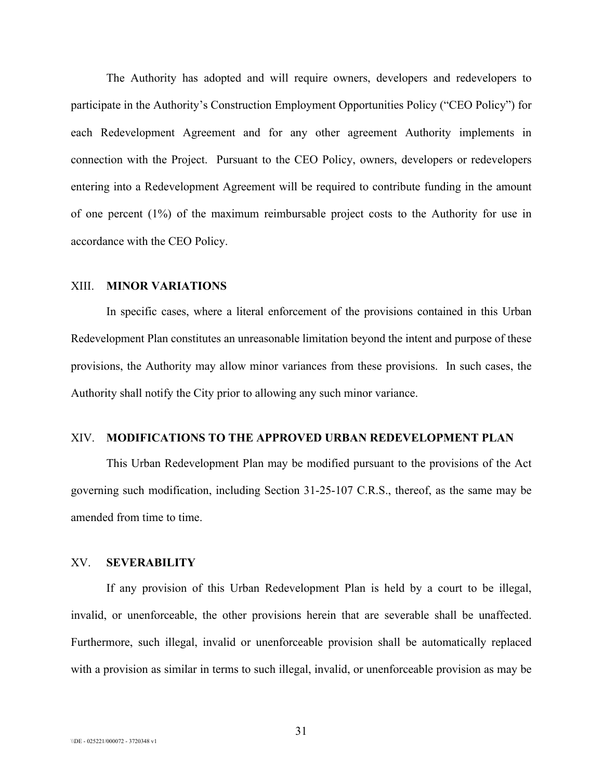The Authority has adopted and will require owners, developers and redevelopers to participate in the Authority's Construction Employment Opportunities Policy ("CEO Policy") for each Redevelopment Agreement and for any other agreement Authority implements in connection with the Project. Pursuant to the CEO Policy, owners, developers or redevelopers entering into a Redevelopment Agreement will be required to contribute funding in the amount of one percent (1%) of the maximum reimbursable project costs to the Authority for use in accordance with the CEO Policy.

#### XIII. **MINOR VARIATIONS**

In specific cases, where a literal enforcement of the provisions contained in this Urban Redevelopment Plan constitutes an unreasonable limitation beyond the intent and purpose of these provisions, the Authority may allow minor variances from these provisions. In such cases, the Authority shall notify the City prior to allowing any such minor variance.

#### XIV. **MODIFICATIONS TO THE APPROVED URBAN REDEVELOPMENT PLAN**

This Urban Redevelopment Plan may be modified pursuant to the provisions of the Act governing such modification, including Section 31-25-107 C.R.S., thereof, as the same may be amended from time to time.

#### XV. **SEVERABILITY**

If any provision of this Urban Redevelopment Plan is held by a court to be illegal, invalid, or unenforceable, the other provisions herein that are severable shall be unaffected. Furthermore, such illegal, invalid or unenforceable provision shall be automatically replaced with a provision as similar in terms to such illegal, invalid, or unenforceable provision as may be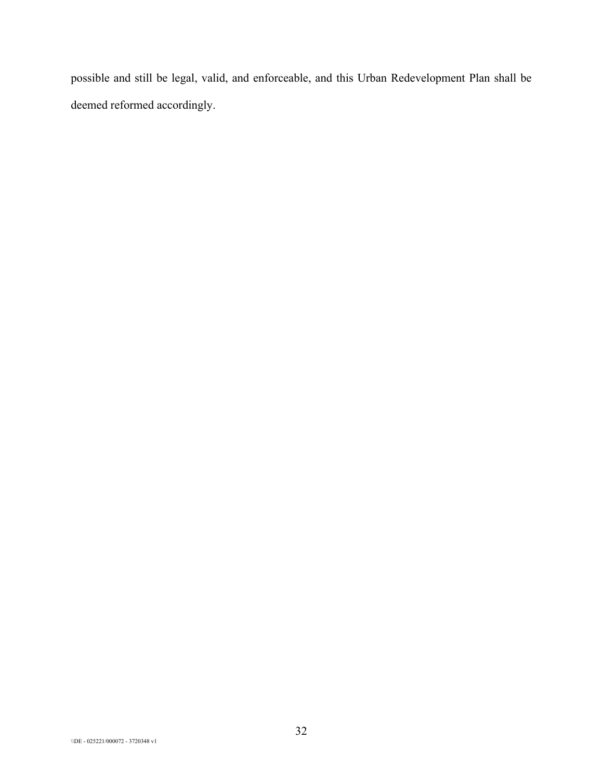possible and still be legal, valid, and enforceable, and this Urban Redevelopment Plan shall be deemed reformed accordingly.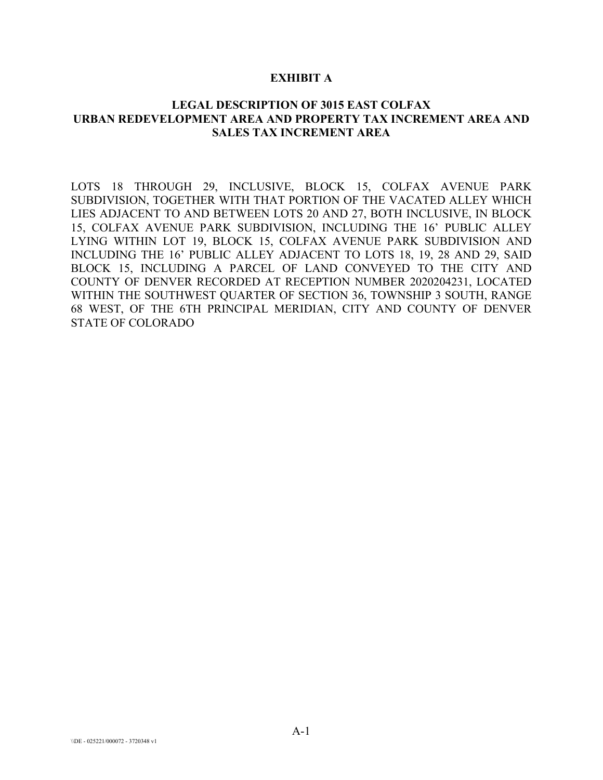#### **EXHIBIT A**

## **LEGAL DESCRIPTION OF 3015 EAST COLFAX URBAN REDEVELOPMENT AREA AND PROPERTY TAX INCREMENT AREA AND SALES TAX INCREMENT AREA**

LOTS 18 THROUGH 29, INCLUSIVE, BLOCK 15, COLFAX AVENUE PARK SUBDIVISION, TOGETHER WITH THAT PORTION OF THE VACATED ALLEY WHICH LIES ADJACENT TO AND BETWEEN LOTS 20 AND 27, BOTH INCLUSIVE, IN BLOCK 15, COLFAX AVENUE PARK SUBDIVISION, INCLUDING THE 16' PUBLIC ALLEY LYING WITHIN LOT 19, BLOCK 15, COLFAX AVENUE PARK SUBDIVISION AND INCLUDING THE 16' PUBLIC ALLEY ADJACENT TO LOTS 18, 19, 28 AND 29, SAID BLOCK 15, INCLUDING A PARCEL OF LAND CONVEYED TO THE CITY AND COUNTY OF DENVER RECORDED AT RECEPTION NUMBER 2020204231, LOCATED WITHIN THE SOUTHWEST QUARTER OF SECTION 36, TOWNSHIP 3 SOUTH, RANGE 68 WEST, OF THE 6TH PRINCIPAL MERIDIAN, CITY AND COUNTY OF DENVER STATE OF COLORADO